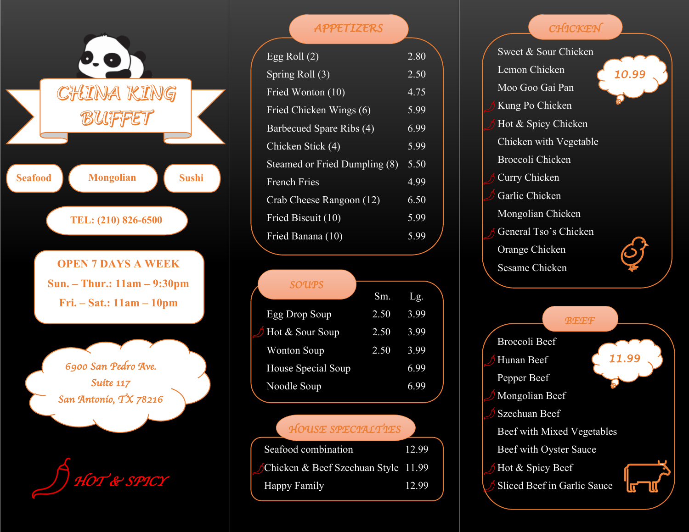

| APPETIZERS                    |      |
|-------------------------------|------|
| Egg Roll $(2)$                | 2.80 |
| Spring Roll (3)               | 2.50 |
| Fried Wonton (10)             | 4.75 |
| Fried Chicken Wings (6)       | 5.99 |
| Barbecued Spare Ribs (4)      | 6.99 |
| Chicken Stick (4)             | 5.99 |
| Steamed or Fried Dumpling (8) | 5.50 |
| <b>French Fries</b>           | 4.99 |
| Crab Cheese Rangoon (12)      | 6.50 |
| Fried Biscuit $(10)$          | 5.99 |
| Fried Banana (10)             | 5.99 |

| SOUPS                  |      |      |
|------------------------|------|------|
|                        | Sm.  | Lg.  |
| Egg Drop Soup          | 2.50 | 3.99 |
| $\int$ Hot & Sour Soup | 2.50 | 3.99 |
| <b>Wonton Soup</b>     | 2.50 | 3.99 |
| House Special Soup     |      | 6.99 |
| Noodle Soup            |      | 6.99 |
|                        |      |      |

### *HOUSE SPECIALTIES*

| Seafood combination                 | 12.99 |
|-------------------------------------|-------|
| Chicken & Beef Szechuan Style 11.99 |       |
| Happy Family                        | 12.99 |
|                                     |       |